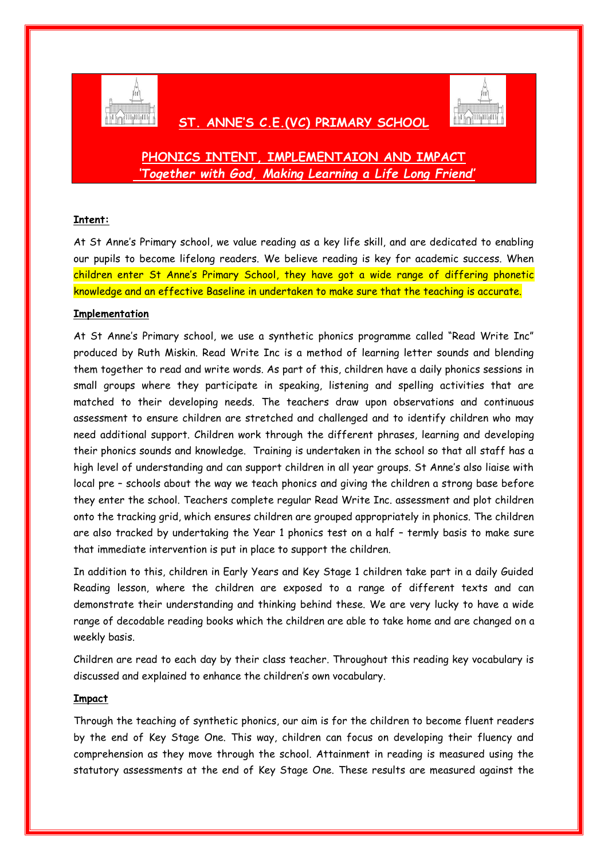

## **ST. ANNE'S C.E.(VC) PRIMARY SCHOOL**



# **PHONICS INTENT, IMPLEMENTAION AND IMPACT** *'Together with God, Making Learning a Life Long Friend'*

## **Intent:**

At St Anne's Primary school, we value reading as a key life skill, and are dedicated to enabling our pupils to become lifelong readers. We believe reading is key for academic success. When children enter St Anne's Primary School, they have got a wide range of differing phonetic knowledge and an effective Baseline in undertaken to make sure that the teaching is accurate.

### **Implementation**

At St Anne's Primary school, we use a synthetic phonics programme called "Read Write Inc" produced by Ruth Miskin. Read Write Inc is a method of learning letter sounds and blending them together to read and write words. As part of this, children have a daily phonics sessions in small groups where they participate in speaking, listening and spelling activities that are matched to their developing needs. The teachers draw upon observations and continuous assessment to ensure children are stretched and challenged and to identify children who may need additional support. Children work through the different phrases, learning and developing their phonics sounds and knowledge. Training is undertaken in the school so that all staff has a high level of understanding and can support children in all year groups. St Anne's also liaise with local pre – schools about the way we teach phonics and giving the children a strong base before they enter the school. Teachers complete regular Read Write Inc. assessment and plot children onto the tracking grid, which ensures children are grouped appropriately in phonics. The children are also tracked by undertaking the Year 1 phonics test on a half – termly basis to make sure that immediate intervention is put in place to support the children.

In addition to this, children in Early Years and Key Stage 1 children take part in a daily Guided Reading lesson, where the children are exposed to a range of different texts and can demonstrate their understanding and thinking behind these. We are very lucky to have a wide range of decodable reading books which the children are able to take home and are changed on a weekly basis.

Children are read to each day by their class teacher. Throughout this reading key vocabulary is discussed and explained to enhance the children's own vocabulary.

#### **Impact**

Through the teaching of synthetic phonics, our aim is for the children to become fluent readers by the end of Key Stage One. This way, children can focus on developing their fluency and comprehension as they move through the school. Attainment in reading is measured using the statutory assessments at the end of Key Stage One. These results are measured against the